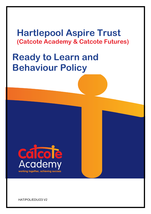# **Hartlepool Aspire Trust (Catcote Academy & Catcote Futures)**

# **Ready to Learn and Behaviour Policy**

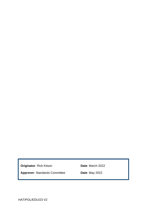**Originator**: Rick Kitson **Date**: March 2022

**Approver**: Standards Committee **Date**: May 2022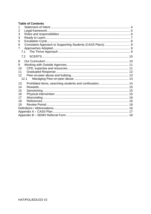#### **Table of Contents**

| 2    |                                                          |  |  |  |
|------|----------------------------------------------------------|--|--|--|
| 3    |                                                          |  |  |  |
| 4    |                                                          |  |  |  |
| 5    |                                                          |  |  |  |
| 6    |                                                          |  |  |  |
| 7    |                                                          |  |  |  |
| 7.1  |                                                          |  |  |  |
| 7.2  |                                                          |  |  |  |
| 8    |                                                          |  |  |  |
| 9    |                                                          |  |  |  |
| 10   |                                                          |  |  |  |
| 11   |                                                          |  |  |  |
| 12   |                                                          |  |  |  |
| 12.1 |                                                          |  |  |  |
| 13   | Prohibited items, searching students and confiscation 14 |  |  |  |
| 14   |                                                          |  |  |  |
| 15   |                                                          |  |  |  |
| 16   |                                                          |  |  |  |
| 17   |                                                          |  |  |  |
| 18   |                                                          |  |  |  |
| 19   |                                                          |  |  |  |
|      |                                                          |  |  |  |
|      |                                                          |  |  |  |
|      |                                                          |  |  |  |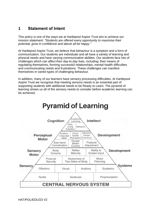#### <span id="page-3-0"></span>**1 Statement of Intent**

This policy is one of the ways we at Hartlepool Aspire Trust aim to achieve our mission statement: *"Students are offered every opportunity to maximise their potential, grow in confidence and above all be happy."*

At Hartlepool Aspire Trust, we believe that behaviour is a symptom and a form of communication. Our students are individuals and all have a variety of learning and physical needs and have varying communicative abilities. Our students face lots of challenges which can affect their day-to-day lives, including; their means of regulating themselves, forming successful relationships, mental health difficulties and communicating needs and frustrations. These challenges can manifest themselves in varied types of challenging behaviour.

In addition, many of our learners have sensory processing difficulties. At Hartlepool Aspire Trust we recognise that meeting sensory needs is an essential part of supporting students with additional needs to be Ready to Learn*.* The pyramid of learning shows us all of the sensory needs to consider *before* academic learning can be achieved.

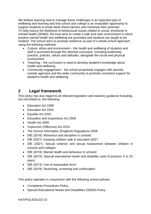We believe learning how to manage these challenges is an important part of wellbeing and learning and that school and college is an invaluable opportunity to support students to break down these barriers and maximise their potential. To help reduce the likelihood of behavioural issues related to social, emotional or mental health (SEMH), the trust aims to create a safe and calm environment in which positive mental health and wellbeing are promoted and students are taught to be resilient. The school aims to promote resilience as part of a whole-school approach using the following methods:

- Culture, ethos and environment the health and wellbeing of students and staff is promoted through the informal curriculum, including leadership practice, policies, values and attitudes, alongside the social and physical environment
- Teaching the curriculum is used to develop student's knowledge about health and wellbeing
- Community engagement the school proactively engages with parents, outside agencies and the wider community to promote consistent support for student's health and wellbeing

### <span id="page-4-0"></span>**2 Legal framework**

This policy has due regard to all relevant legislation and statutory guidance including, but not limited to, the following:

- Education Act 1996
- Education Act 2002
- Equality Act 2010
- Education and Inspections Act 2006
- Health Act 2006
- Voyeurism (Offences) Act 2019
- The School Information (England) Regulations 2008
- DfE (2016) 'Behaviour and discipline in schools'
- DfE (2021) 'Keeping children safe in education 2021'
- DfE (2021) 'Sexual violence and sexual harassment between children in schools and colleges'
- DfE (2018) 'Mental health and behaviour in schools'
- DfE (2015) 'Special educational needs and disability code of practice: 0 to 25 years'
- DfE (2013) 'Use of reasonable force'
- DfE (2018) 'Searching, screening and confiscation'

This policy operates in conjunction with the following school policies:

- Complaints Procedures Policy
- Special Educational Needs and Disabilities (SEND) Policy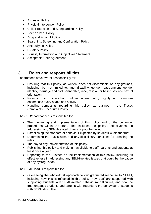- Exclusion Policy
- Physical Intervention Policy
- Child Protection and Safeguarding Policy
- Peer on Peer Policy
- Drug and Alcohol Policy
- Searching, Screening and Confiscation Policy
- Anti-bullying Policy
- E-Safety Policy
- Equality Information and Objectives Statement
- Acceptable User Agreement

#### <span id="page-5-0"></span>**3 Roles and responsibilities**

The trustees have overall responsibility for:

- Ensuring that this policy, as written, does not discriminate on any grounds, including, but not limited to, age, disability, gender reassignment, gender identity, marriage and civil partnership, race, religion or belief, sex and sexual orientation.
- Promoting a whole-school culture where calm, dignity and structure encompass every space and activity.
- Handling complaints regarding this policy, as outlined in the Trust's Complaints Procedures Policy.

The CEO/headteacher is responsible for:

- The monitoring and implementation of this policy and of the behaviour procedures within the trust. This includes the policy's effectiveness in addressing any SEMH-related drivers of poor behaviour.
- Establishing the standard of behaviour expected by students within the trust.
- Determining the trust's rules and any disciplinary sanctions for breaking the rules.
- The day-to-day implementation of this policy.
- Publishing this policy and making it available to staff, parents and students at least once a year.
- Reporting to the trustees on the implementation of this policy, including its effectiveness in addressing any SEMH-related issues that could be the cause of any dysregulation.

The SEMH lead is responsible for:

• Overseeing the whole-trust approach to our graduated response to SEMH, including how this is reflected in this policy, how staff are supported with supporting students with SEMH-related behavioural difficulties, and how the trust engages students and parents with regards to the behaviour of students with SEMH difficulties.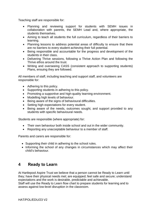Teaching staff are responsible for:

- Planning and reviewing support for students with SEMH issues in collaboration with parents, the SEMH Lead and, where appropriate, the students themselves.
- Aiming to teach all students the full curriculum, regardless of their barriers to learning.
- Planning lessons to address potential areas of difficulty to ensure that there are no barriers to every student achieving their full potential.
- Being responsible and accountable for the progress and development of the students in their class.
- Delivering Thrive sessions, following a Thrive Action Plan and following the Thrive ethos around the trust.
- Writing and overseeing CASS (consistent approach to supporting students) Plans, ensuing they are followed.

All members of staff, including teaching and support staff, and volunteers are responsible for:

- Adhering to this policy.
- Supporting students in adhering to this policy.
- Promoting a supportive and high-quality learning environment.
- Modelling high levels of behaviour.
- Being aware of the signs of behavioural difficulties.
- Setting high expectations for every student.
- Being aware of the needs, outcomes sought, and support provided to any students with specific behavioural needs.

Students are responsible (where appropriate) for:

- Their own behaviour both inside school and out in the wider community.
- Reporting any unacceptable behaviour to a member of staff.

Parents and carers are responsible for:

- Supporting their child in adhering to the school rules.
- Informing the school of any changes in circumstances which may affect their child's behaviour.

#### <span id="page-6-0"></span>**4 Ready to Learn**

At Hartlepool Aspire Trust we believe that a person cannot be Ready to Learn until they; have their physical needs met; are equipped; feel safe and secure; understand expectations and the work is desirable, predictable and achievable.

Staff will use the Ready to Learn flow chart to prepare students for learning and to assess against low-level disruption in the classroom.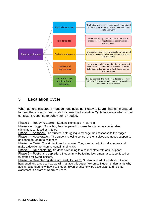

# <span id="page-7-0"></span>**5 Escalation Cycle**

When general classroom management including 'Ready to Learn', has not managed to meet the student's needs, staff will use the Escalation Cycle to assess what sort of consistent response to behaviour is needed.

Phase 1 – Ready to Learn – Student is engaged in learning.

Phase 2 – Trigger: Something has happened to make the student uncomfortable, stimulated, confused or irritated.

Phase 3 – Agitation: The student is struggling to manage their response to the trigger.

Phase 4 – Acceleration: The student is losing control of themselves and needs support to help them to return to calmness.

Phase 5 – Crisis: The student has lost control. They need an adult to take control and make a decision for them to contain their crisis.

Phase 6 – De-escalation: Student is returning to a calmer state with adult support. Phase 7 – Post-crisis depletion: Student may be feeling low, embarrassed, confused or frustrated following incident.

Phase 8 – Re-entering state of Ready to Learn: Student and adult to talk about what happened and agree to how we will manage this better next time. Student understands why adults responded how they did. Student given chance to wipe slate clean and re-enter classroom in a state of Ready to Learn.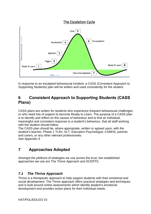

In response to an escalated behavioural incident, a CASS (Consistent Approach to Supporting Students) plan will be written and used consistently for the student.

## <span id="page-8-0"></span>**6 Consistent Approach to Supporting Students (CASS Plans)**

CASS plans are written for students who experience frequent behavioural challenges or who need lots of support to become Ready to Learn. The purpose of a CASS plan is to identify and reflect on the causes of behaviour and to find an individual, meaningful and consistent response to a student's behaviour, that all staff working with the student should follow.

The CASS plan should be, where appropriate, written or agreed upon, with the student's teacher, Phase 1 TLRs, SLT, Education Psychologist, CAMHS, parents and carers, or any other relevant professionals. *See Appendix A*

# <span id="page-8-1"></span>**7 Approaches Adopted**

Amongst the plethora of strategies we use across the trust, two established approaches we use are The Thrive Approach and SCERTS.

#### <span id="page-8-2"></span>*7.1 The Thrive Approach*

Thrive is a therapeutic approach to help support students with their emotional and social development. The Thrive approach offers practical strategies and techniques and is built around online assessments which identify student's emotional development and provides action plans for their individual needs.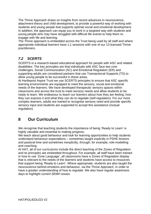The Thrive Approach draws on insights from recent advances in neuroscience, attachment theory and child development, to provide a powerful way of working with students and young people that supports optimal social and emotional development. In addition, the approach can equip you to work in a targeted way with students and young people who may have struggled with difficult life events to help them reengage with life and learning.

The Thrive approach is embedded across the Trust being used by all staff and where appropriate individual learners have 1:1 sessions with one of our 13 licensed Thrive practitioners.

#### <span id="page-9-0"></span>*7.2 SCERTS*

SCERTS is a research-based educational approach for people with ASC and related disabilities. The key principles are that individuals with ASC face two core challenges, Social Communication (SC) and Emotional Regulation (ER) and supporting adults are considered partners that use Transactional Supports (TS) to allow young people to be successful in these areas.

At Hartlepool Aspire Trust we use SCERTS principles to ensure that ASC specific learning environments are equipped to meet the sensory, social and emotional needs of the learners. We have developed therapeutic sensory spaces within classrooms and across the trust to meet sensory needs and allow students to be ready to learn. We endeavour to teach our learners about how they are feeling, how they can express it and what they can do to regulate (self-regulation). For our more complex learners, adults are trained to recognise sensory need and provide specific sensory input and students are supported to accept this assistance (mutual regulation).

# <span id="page-9-1"></span>**8 Our Curriculum**

We recognise that teaching students the importance of being 'Ready to Learn' is highly valuable and essential to making progress.

We teach about good behaviour and look for learning opportunities to help students understand behaviour expectations – sometimes taught explicitly in PSHE lessons and pastoral time and sometimes inexplicitly, through, for example, role-modelling and coaching.

At HAT, all of our curriculums include the direct teaching of the Zones of Regulation and its principles are embedded throughout. For example, all staff have been trained in how to use 'Zone Language', all classrooms have a Zones of Regulation display that is relevant to the needs of the learners and students have access to resources that support being 'Ready to Learn'. Where appropriate, students are also taught the neuroscience behind emotions and behaviour, via the Thrive Approach, in order to have a greater understanding of how to regulate. We also have regular awareness days to highlight current SEMH issues.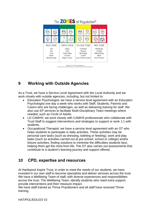#### 0 € € Ŵ, **BLUE ZONE GREEN ZONE YELLOW ZONE RED ZONE** Sad Frustrated Mad/Angry Happy Sick Calm Worried Terrified Tired **Feeling Okay** Silly/Wiggly Yelling/Hitting **Bored** Focused **Excited Flated Moving Slowly** Ready to Learn **Loss of Some Control Out of Control**

#### The **ZONES** of Regulation®

Copyright C 2011 Think Social Publishing, Inc.<br>This page may be copied for the purposes of educating students and other professionals

# <span id="page-10-0"></span>**9 Working with Outside Agencies**

As a Trust, we have a Service Level Agreement with the Local Authority and we work closely with outside agencies, including, but not limited to:

- Education Psychologist: we have a service level agreement with an Education Psychologist one day a week who works with Staff, Students, Parents and Carers who are facing challenges, as well as delivering training for staff. We also use EP services to facilitate Multi-Disciplinary Team meetings where needed, such as Circle of Adults.
- LD CAMHS: we work closely with CAMHS professionals who collaborate with Trust Staff to suggest interventions and strategies to support or work 1:1 with students.
- Occupational Therapist: we have a service level agreement with an OT who helps students to participate in daily activities. These activities may be personal care tasks (such as dressing, toileting or feeding), work and play tasks (such as activities carried out at pre-school, school or college) and/or leisure activities, finding solutions to minimise the difficulties students face, helping them get the most from life. The OT also carries out assessments that contribute to a student's learning journey and support offered.

#### <span id="page-10-1"></span>**10 CPD, expertise and resources**

At Hartlepool Aspire Trust, in order to meet the needs of our students, we have invested in our own staff to become specialists and deliver services across the trust. We have a Wellbeing Team of staff, with diverse experiences and responsibilities across the trust. The Wellbeing Team, identify students who need extra support, provide interventions and then measure impact.

We have staff trained as Thrive Practitioners and all staff have received Thrive training.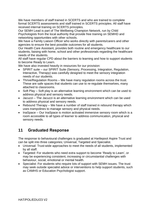We have members of staff trained in SCERTS and who are trained to complete formal SCERTS assessments and staff trained in SCERTS principles. All staff have received internal training on SCERTS principles.

Our SEMH Lead is part of The Wellbeing Champion Network, run by Child Psychologists from the local authority that provide free training on SEMHD and networking opportunities with other schools.

We have a Family Liaison Officer who works directly with parents/carers and other agencies to ensure the best possible outcomes for all students.

Our Health Care Assistant, provides both routine and emergency healthcare to our students, liaising with home, school and other professionals regarding the healthcare needs of the students.

All staff have regular CPD about the barriers to learning and how to support students to become Ready to Learn.

We have also invested heavily in resources for our provision:

- SPIRIT suite our SPIRIT Suite (Sensory, Processing, Integration, Regulation, Interactive, Therapy) was carefully designed to meet the sensory integration needs of our students.
- Thrive/Regulation Rooms We have many regulation rooms across the trust. These are safe spaces that students can use to re-regulate themselves, many attached to classrooms.
- Soft Play Soft play is an alternative learning environment which can be used to address physical and sensory needs.
- Jacuzzi The Jacuzzi is an alternative learning environment which can be used to address physical and sensory needs.
- Rebound Therapy We have a number of staff trained in rebound therapy which uses trampolines to manage sensory and physical needs.
- InaSpace Our InaSpace is motion activated immersive sensory room which is a room accessible to all types of learner to address communication, physical and sensory needs.

# <span id="page-11-0"></span>**11 Graduated Response**

The response to behavioural challenges is graduated at Hartlepool Aspire Trust and can be split into three categories; Universal, Targeted and Specialist.

- Universal: Trust-wide approaches to meet the needs of all students, implemented by all staff.
- Targeted: For students who need extra support to become 'Ready to Learn', or may be experiencing consistent, increasing or circumstantial challenges with behaviour, social, emotional or mental health.
- Specialist: For students who require lots of support with SEMH issues. The trust may seek outside specialist advice or interventions to help support students, such as CAMHS or Education Psychologist support.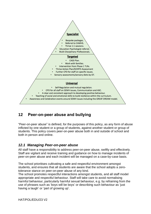

# <span id="page-12-0"></span>**12 Peer-on-peer abuse and bullying**

"Peer-on-peer abuse" is defined, for the purposes of this policy, as any form of abuse inflicted by one student or a group of students, against another student or group of students. This policy covers peer-on-peer abuse both in and outside of school and both in person and online.

#### <span id="page-12-1"></span>*12.1 Managing Peer-on-peer abuse*

All staff have a responsibility to address peer-on-peer abuse, swiftly and effectively. Staff are vigilant and receive training and guidance on how to manage incidents of peer-on-peer abuse and each incident will be managed on a case-by-case basis.

The school prioritises cultivating a safe and respectful environment amongst students, and ensures that all students are aware that the school adopts a zerotolerance stance on peer-on-peer abuse of any kind.

The school promotes respectful interactions amongst students, and all staff model appropriate and respectful behaviour. Staff will take care to avoid normalising harmful behaviour, particularly harmful sexual behaviour, e.g. by refraining from the use of phrases such as 'boys will be boys' or describing such behaviour as 'just having a laugh' or 'part of growing up'.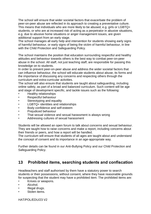The school will ensure that wider societal factors that exacerbate the problem of peer-on-peer abuse are reflected in its approach to creating a preventative culture. This means that individuals who are more likely to be abused, e.g. girls or LGBTQ+ students, or who are at increased risk of acting as a perpetrator in abusive situations, e.g. due to abusive home situations or anger management issues, are given additional support from an early stage.

The school manages all early help and intervention for students showing early signs of harmful behaviour, or early signs of being the victim of harmful behaviour, in line with the Child Protection and Safeguarding Policy.

The school maintains the position that education surrounding respectful and healthy attitudes and behaviour towards others is the best way to combat peer-on-peer abuse in the school. All staff, not just teaching staff, are responsible for passing this knowledge on to students.

In order to prevent peer-on-peer abuse and address the wider societal factors that can influence behaviour, the school will educate students about abuse, its forms and the importance of discussing any concerns and respecting others through the curriculum and extra-curricular activities.

The school will also ensure that students are taught about safeguarding, including online safety, as part of a broad and balanced curriculum. Such content will be age and stage of development specific, and tackle issues such as the following:

- Healthy relationships
- Respectful behaviour
- Stereotyping and equality
- LGBTQ+ identities and relationships
- Body confidence and self-esteem
- Prejudiced behaviour
- That sexual violence and sexual harassment is always wrong
- Addressing cultures of sexual harassment

Students will be allowed an open forum to talk about concerns and sexual behaviour. They are taught how to raise concerns and make a report, including concerns about their friends or peers, and how a report will be handled.

The curriculum will ensure that students of all ages are taught about and understand the concept of consent and its importance in an age-appropriate way.

Further details can be found in our Anti-Bullying Policy and our Child Protection and Safeguarding Policy.

#### <span id="page-13-0"></span>**13 Prohibited items, searching students and confiscation**

Headteachers and staff authorised by them have a statutory power to search students or their possessions, without consent, where they have reasonable grounds for suspecting that the student may have a prohibited item. The prohibited items are:

- Knives or weapons.
- Alcohol.
- Illegal drugs.
- Stolen items.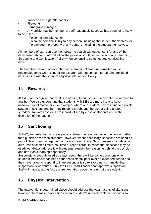- Tobacco and cigarette papers.
- Fireworks.
- Pornographic images.
- Any article that the member of staff reasonably suspects has been, or is likely to be, used:
	- To commit an offence; or
	- To cause personal injury to any person, including the student themselves; or
	- To damage the property of any person, including the student themselves.

All members of staff can use their power to search without consent for any of the items listed above. Staff will follow the provisions outlined in the school's Searching, Screening and Confiscation Policy when conducting searches and confiscating items.

The headteacher and other authorised members of staff are permitted to use reasonable force when conducting a search without consent for certain prohibited items, in line with the school's Physical Intervention Policy.

#### <span id="page-14-0"></span>**14 Rewards**

At HAT, we recognise that what is rewarding to one student, may not be rewarding to another. We also understand that students with SEN are more likely to have unconventional motivators. For example, where one student may respond to a points system or stickers, another may respond to rebound therapy or using a paper shredder. Rewards systems are individualised by class or students and at the discretion of the teacher.

#### <span id="page-14-1"></span>**15 Sanctioning**

At HAT, we prefer to use strategies to address the reasons behind behaviour, rather than punish or sanction students. However, where necessary, sanctions are used as part of classroom management and vary in each class. Sanctions may include time outs, loss of choice time/break time or report cards. In cases that sanctions may be used, we always address it with students, explain the reasoning behind the decision and use it as a learning opportunity.

Suspensions are only used as a last resort, there will be some occasions when students' behaviour has been either consistently poor over an extended period and they have failed to respond to intervention, or is so extraordinary or unsafe that suspension is warranted. Only the CEO/Head Teacher can approve suspension. Staff will have a strong focus on reintegration upon the return of the student.

#### <span id="page-14-2"></span>**16 Physical intervention**

The interventions determined above should address the vast majority of situations, however, there may be occasions when a student's unpredictable behaviour is so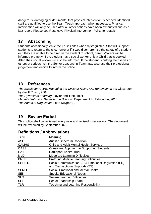dangerous, damaging or detrimental that physical intervention is needed. Identified staff are qualified to use the Team Teach approach when necessary. Physical Intervention will only be used after all other options have been exhausted and as a last resort. Please see Restrictive Physical Intervention Policy for details.

## <span id="page-15-0"></span>**17 Absconding**

Students occasionally leave the Trust's sites when dysregulated. Staff will support students to return to the site, however if it would compromise the safety of a student or if they are unable to help return the student to school, parents/carers will be informed promptly. If the student has a social worker or is a Child that is Looked After, their social worker will also be informed. If the student is putting themselves or others at serious risk, the Senior Leadership Team may also use their professional judgement and decide to inform the police.

#### <span id="page-15-1"></span>**18 References**

*The Escalation Cycle*, *Managing the Cycle of Acting-Out Behaviour in the* Classroom by Geoff Colvin, 2004.

*The Pyramid of Learning*, Taylor and Trott, 1991.

*Mental Health and Behaviour in Schools,* Department for Education, 2018. *The Zones of Regulation,* Leah Kuypers, 2011.

#### <span id="page-15-2"></span>**19 Review Period**

This policy shall be reviewed every year and revised if necessary. The document will be reviewed by September 2023.

| <b>Term</b>   | <b>Meaning</b>                                       |  |  |
|---------------|------------------------------------------------------|--|--|
| <b>ASC</b>    | <b>Autistic Spectrum Condition</b>                   |  |  |
| <b>CAMHS</b>  | <b>Child and Adult Mental Health Services</b>        |  |  |
| <b>CASS</b>   | <b>Consistent Approach to Supporting Students</b>    |  |  |
| <b>HAT</b>    | <b>Hartlepool Aspire Trust</b>                       |  |  |
| <b>MLD</b>    | <b>Moderate Learning Difficulties</b>                |  |  |
| <b>PMLD</b>   | <b>Profound Multiple Learning Difficulties</b>       |  |  |
| <b>SCERTS</b> | Social Communication (SC), Emotional Regulation (ER) |  |  |
|               | and Transactional Supports (TS)                      |  |  |
| <b>SEMH</b>   | Social, Emotional and Mental Health                  |  |  |
| <b>SEN</b>    | <b>Special Educational Needs</b>                     |  |  |
| <b>SLD</b>    | <b>Severe Learning Difficulties</b>                  |  |  |
| <b>SLT</b>    | Senior Leadership Team                               |  |  |
| <b>TLR</b>    | <b>Teaching and Learning Responsibility</b>          |  |  |

#### <span id="page-15-3"></span>**Definitions / Abbreviations**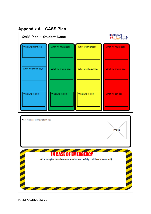# <span id="page-16-0"></span>**Appendix A – CASS Plan**

#### CASS Plan - Student Name





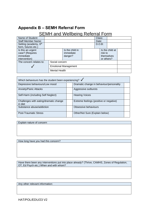# <span id="page-17-0"></span>**Appendix B – SEMH Referral Form**

# SEMH and Wellbeing Referral Form

| Name of Student:                  |  |                             |                 |  | Class: |            |                 |  |
|-----------------------------------|--|-----------------------------|-----------------|--|--------|------------|-----------------|--|
| <b>Staff Member Name:</b>         |  |                             |                 |  | Date:  |            |                 |  |
| Setting (academy, 6 <sup>th</sup> |  |                             |                 |  |        | D.O.B:     |                 |  |
| form, futures etc.)               |  |                             |                 |  |        |            |                 |  |
| Is this an urgent                 |  |                             | Is the child in |  |        |            | Is the child at |  |
| case? (Requires                   |  |                             | immediate       |  |        | risk to    |                 |  |
| immediate                         |  |                             | danger?         |  |        |            | themselves      |  |
| intervention)                     |  |                             |                 |  |        | or others? |                 |  |
| The concern relates to:           |  | Social concern              |                 |  |        |            |                 |  |
|                                   |  | <b>Emotional Management</b> |                 |  |        |            |                 |  |
|                                   |  | <b>Mental Health</b>        |                 |  |        |            |                 |  |

| Which behaviours has the student been experiencing? |  |                                          |  |  |  |  |
|-----------------------------------------------------|--|------------------------------------------|--|--|--|--|
| Depressive behaviours/Low mood                      |  | Dramatic change in behaviour/personality |  |  |  |  |
| <b>Anxiety/Panic Attacks</b>                        |  | Aggressive outbursts                     |  |  |  |  |
| Self-Harm (including Self Neglect)                  |  | <b>Hearing Voices</b>                    |  |  |  |  |
| Challenges with eating/dramatic change<br>in diet   |  | Extreme feelings (positive or negative)  |  |  |  |  |
| Substance abuse/addiction                           |  | Obsessive behaviours                     |  |  |  |  |
| <b>Post-Traumatic Stress</b>                        |  | Other/Not Sure (Explain below)           |  |  |  |  |

Explain nature of concern

How long have you had this concern?

Have there been any interventions put into place already? (Thrive, CAMHS, Zones of Regulation, OT, Ed Psych etc.) When and with whom?

Any other relevant information: